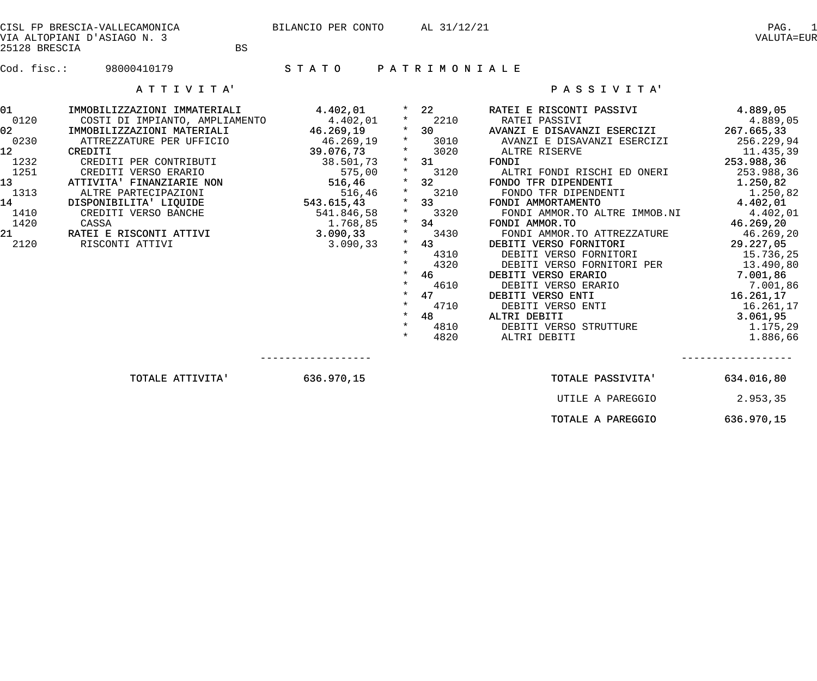| CISL FP BRESCIA-VALLECAMONICA<br>VIA ALTOPIANI D'ASIAGO N. 3<br><b>BS</b><br>25128 BRESCIA                                              |                                                                                                                                                                                                                                                                                                                                                                                                                            | BILANCIO PER CONTO                               |                                                                                                                       | AL 31/12/21                                                                                                                                                                                                |                                                                                                                                                                                                                                                                                                                                                                                                                                                                                                                                                                                                                                                                                                                                                                                                                                                                                                                        | PAG.<br>$\mathbf{1}$<br>VALUTA=EUR |
|-----------------------------------------------------------------------------------------------------------------------------------------|----------------------------------------------------------------------------------------------------------------------------------------------------------------------------------------------------------------------------------------------------------------------------------------------------------------------------------------------------------------------------------------------------------------------------|--------------------------------------------------|-----------------------------------------------------------------------------------------------------------------------|------------------------------------------------------------------------------------------------------------------------------------------------------------------------------------------------------------|------------------------------------------------------------------------------------------------------------------------------------------------------------------------------------------------------------------------------------------------------------------------------------------------------------------------------------------------------------------------------------------------------------------------------------------------------------------------------------------------------------------------------------------------------------------------------------------------------------------------------------------------------------------------------------------------------------------------------------------------------------------------------------------------------------------------------------------------------------------------------------------------------------------------|------------------------------------|
|                                                                                                                                         |                                                                                                                                                                                                                                                                                                                                                                                                                            |                                                  |                                                                                                                       |                                                                                                                                                                                                            |                                                                                                                                                                                                                                                                                                                                                                                                                                                                                                                                                                                                                                                                                                                                                                                                                                                                                                                        |                                    |
|                                                                                                                                         | ATTIVITA'                                                                                                                                                                                                                                                                                                                                                                                                                  |                                                  |                                                                                                                       |                                                                                                                                                                                                            | PASSIVITA'                                                                                                                                                                                                                                                                                                                                                                                                                                                                                                                                                                                                                                                                                                                                                                                                                                                                                                             |                                    |
| 01<br>0120<br>02 <sub>1</sub><br>0230<br>12 <sup>°</sup><br>1232<br>1251<br>13 <sup>2</sup><br>1313<br>14<br>1410<br>1420<br>21<br>2120 | IMMOBILIZZAZIONI IMMATERIALI<br>COSTI DI IMPIANTO, AMPLIAMENTO 4.402,01<br>IMMOBILIZZAZIONI MATERIALI 46.269,19<br>ATTREZZATURE PER UFFICIO 46.269,19<br>CREDITI 39.076,73<br>CREDITI PER CONTRIBUTI<br>CREDITI VERSO ERARIO 575,00<br>ATTIVITA' FINANZIARIE NON 516,46<br>ALTRE PARTECIPAZIONI 516,46<br>DISPONIBILITA' LIQUIDE 543.615,43<br>CREDITI VERSO BANCHE<br>CASSA<br>RATEI E RISCONTI ATTIVI<br>RISCONTI ATTIVI | 541.846,58<br>1.768,85<br>3.090, 33<br>3.090, 33 | $\star$<br>$\star$<br>$\star$<br>$\star$<br>$\star$<br>$\star$<br>$\star$<br>$\star$<br>$\star$<br>$\star$<br>$\star$ | $*$ 2210<br>$*$ 30<br>$*$ 3010<br>$*$ 3020<br>$\star$ 31<br>$*$ 3120<br>$*$ 32<br>$*$ 3210<br>$*$ 33<br>3320<br>$*$ 34<br>3430<br>$*$ 43<br>4310<br>4320<br>46<br>4610<br>47<br>4710<br>48<br>4810<br>4820 | 4.402,01 * 22 RATEI E RISCONTI PASSIVI 4.889,05<br>RATEI PASSIVI 4.889,05<br>AVANZI E DISAVANZI ESERCIZI 267.665,33<br>RATEI PASSIVI<br>AVANZI E DISAVANZI ESERCIZI 256.229,94<br>ALTRE RISERVE 11.435,39<br>FONDI 253.988,36<br>ALTRI FONDI RISCHI ED ONERI 253.988,36<br>FONDO TFR DIPENDENTI<br>NO TER DIPENDENTI<br>FONDO TER DIPENDENTI (1.250,82<br>NOI AMMORTAMENTO (4.402,01<br>FONDI AMMORTAMENTO<br>FONDI AMMOR.TO ALTRE IMMOB.NI 4.402,01<br>20 AMMOR.TO 46.269,20<br>20 FONDI AMMOR.TO ATTREZZATURE 46.269,20<br>FONDI AMMOR.TO<br>DEBITI VERSO FORNITORI<br>DEBITI VERSO FORNITORI PER 13.490,80<br>EBITI VERSO ERARIO 7.001,86<br>DEBITI VERSO ERARIO 7.001,86<br>EBITI VERSO ENTI 16.261,17<br>DEBITI VERSO ERARIO<br>DEBITI VERSO ENTI<br>DEBITI VERSO ENTI<br>LTRI DEBITI VERSO STRUTTURE<br>DEBITI VERSO STRUTTURE<br>ALTRI DEBITI 1.175,29<br>ALTRI DEBITI 1.886,66<br>ALTRI DEBITI<br>ALTRI DEBITI |                                    |
|                                                                                                                                         | TOTALE ATTIVITA' 636.970,15                                                                                                                                                                                                                                                                                                                                                                                                |                                                  |                                                                                                                       |                                                                                                                                                                                                            | TOTALE PASSIVITA'                                                                                                                                                                                                                                                                                                                                                                                                                                                                                                                                                                                                                                                                                                                                                                                                                                                                                                      | 634.016,80                         |
|                                                                                                                                         |                                                                                                                                                                                                                                                                                                                                                                                                                            |                                                  |                                                                                                                       |                                                                                                                                                                                                            | UTILE A PAREGGIO                                                                                                                                                                                                                                                                                                                                                                                                                                                                                                                                                                                                                                                                                                                                                                                                                                                                                                       | 2.953,35                           |

TOTALE A PAREGGIO 636.970,15